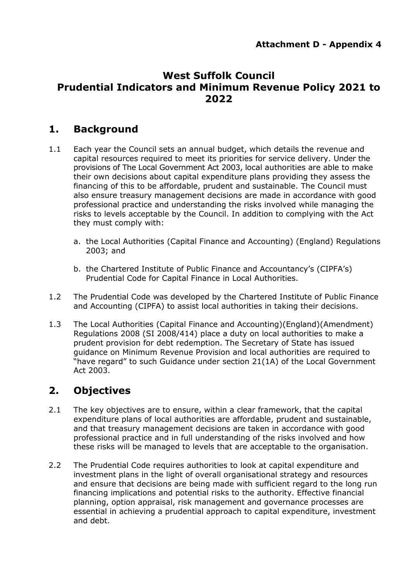## **West Suffolk Council Prudential Indicators and Minimum Revenue Policy 2021 to 2022**

# **1. Background**

- 1.1 Each year the Council sets an annual budget, which details the revenue and capital resources required to meet its priorities for service delivery. Under the provisions of The Local Government Act 2003, local authorities are able to make their own decisions about capital expenditure plans providing they assess the financing of this to be affordable, prudent and sustainable. The Council must also ensure treasury management decisions are made in accordance with good professional practice and understanding the risks involved while managing the risks to levels acceptable by the Council. In addition to complying with the Act they must comply with:
	- a. the Local Authorities (Capital Finance and Accounting) (England) Regulations 2003; and
	- b. the Chartered Institute of Public Finance and Accountancy's (CIPFA's) Prudential Code for Capital Finance in Local Authorities.
- 1.2 The Prudential Code was developed by the Chartered Institute of Public Finance and Accounting (CIPFA) to assist local authorities in taking their decisions.
- 1.3 The Local Authorities (Capital Finance and Accounting)(England)(Amendment) Regulations 2008 (SI 2008/414) place a duty on local authorities to make a prudent provision for debt redemption. The Secretary of State has issued guidance on Minimum Revenue Provision and local authorities are required to "have regard" to such Guidance under section 21(1A) of the Local Government Act 2003.

# **2. Objectives**

- 2.1 The key objectives are to ensure, within a clear framework, that the capital expenditure plans of local authorities are affordable, prudent and sustainable, and that treasury management decisions are taken in accordance with good professional practice and in full understanding of the risks involved and how these risks will be managed to levels that are acceptable to the organisation.
- 2.2 The Prudential Code requires authorities to look at capital expenditure and investment plans in the light of overall organisational strategy and resources and ensure that decisions are being made with sufficient regard to the long run financing implications and potential risks to the authority. Effective financial planning, option appraisal, risk management and governance processes are essential in achieving a prudential approach to capital expenditure, investment and debt.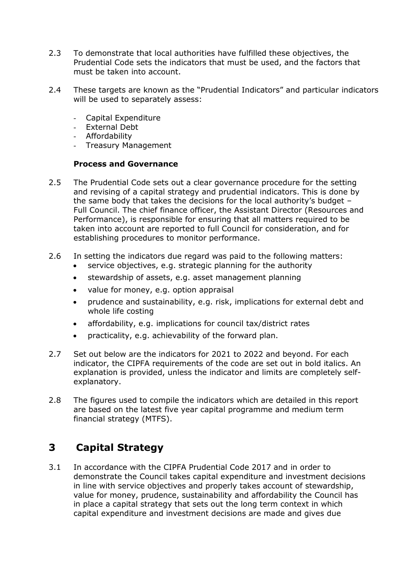- 2.3 To demonstrate that local authorities have fulfilled these objectives, the Prudential Code sets the indicators that must be used, and the factors that must be taken into account.
- 2.4 These targets are known as the "Prudential Indicators" and particular indicators will be used to separately assess:
	- Capital Expenditure
	- External Debt
	- Affordability
	- Treasury Management

#### **Process and Governance**

- 2.5 The Prudential Code sets out a clear governance procedure for the setting and revising of a capital strategy and prudential indicators. This is done by the same body that takes the decisions for the local authority's budget – Full Council. The chief finance officer, the Assistant Director (Resources and Performance), is responsible for ensuring that all matters required to be taken into account are reported to full Council for consideration, and for establishing procedures to monitor performance.
- 2.6 In setting the indicators due regard was paid to the following matters:
	- service objectives, e.g. strategic planning for the authority
	- stewardship of assets, e.g. asset management planning
	- value for money, e.g. option appraisal
	- prudence and sustainability, e.g. risk, implications for external debt and whole life costing
	- affordability, e.g. implications for council tax/district rates
	- practicality, e.g. achievability of the forward plan.
- 2.7 Set out below are the indicators for 2021 to 2022 and beyond. For each indicator, the CIPFA requirements of the code are set out in bold italics. An explanation is provided, unless the indicator and limits are completely selfexplanatory.
- 2.8 The figures used to compile the indicators which are detailed in this report are based on the latest five year capital programme and medium term financial strategy (MTFS).

# **3 Capital Strategy**

3.1 In accordance with the CIPFA Prudential Code 2017 and in order to demonstrate the Council takes capital expenditure and investment decisions in line with service objectives and properly takes account of stewardship, value for money, prudence, sustainability and affordability the Council has in place a capital strategy that sets out the long term context in which capital expenditure and investment decisions are made and gives due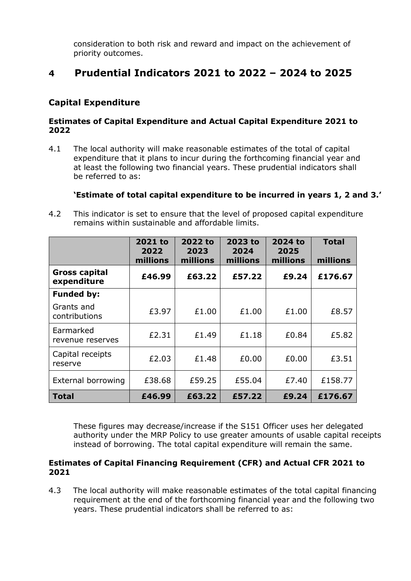consideration to both risk and reward and impact on the achievement of priority outcomes.

## **4 Prudential Indicators 2021 to 2022 – 2024 to 2025**

## **Capital Expenditure**

#### **Estimates of Capital Expenditure and Actual Capital Expenditure 2021 to 2022**

4.1 The local authority will make reasonable estimates of the total of capital expenditure that it plans to incur during the forthcoming financial year and at least the following two financial years. These prudential indicators shall be referred to as:

#### **'Estimate of total capital expenditure to be incurred in years 1, 2 and 3.'**

4.2 This indicator is set to ensure that the level of proposed capital expenditure remains within sustainable and affordable limits.

|                                     | 2021 to<br>2022<br>millions | 2022 to<br>2023<br>millions | 2023 to<br>2024<br>millions | 2024 to<br>2025<br>millions | <b>Total</b><br>millions |
|-------------------------------------|-----------------------------|-----------------------------|-----------------------------|-----------------------------|--------------------------|
| <b>Gross capital</b><br>expenditure | £46.99                      | £63.22                      | £57.22                      | £9.24                       | £176.67                  |
| <b>Funded by:</b>                   |                             |                             |                             |                             |                          |
| Grants and<br>contributions         | £3.97                       | £1.00                       | £1.00                       | £1.00                       | £8.57                    |
| Earmarked<br>revenue reserves       | £2.31                       | £1.49                       | £1.18                       | £0.84                       | £5.82                    |
| Capital receipts<br>reserve         | £2.03                       | £1.48                       | £0.00                       | £0.00                       | £3.51                    |
| External borrowing                  | £38.68                      | £59.25                      | £55.04                      | £7.40                       | £158.77                  |
| <b>Total</b>                        | £46.99                      | £63.22                      | £57.22                      | £9.24                       | £176.67                  |

These figures may decrease/increase if the S151 Officer uses her delegated authority under the MRP Policy to use greater amounts of usable capital receipts instead of borrowing. The total capital expenditure will remain the same.

#### **Estimates of Capital Financing Requirement (CFR) and Actual CFR 2021 to 2021**

4.3 The local authority will make reasonable estimates of the total capital financing requirement at the end of the forthcoming financial year and the following two years. These prudential indicators shall be referred to as: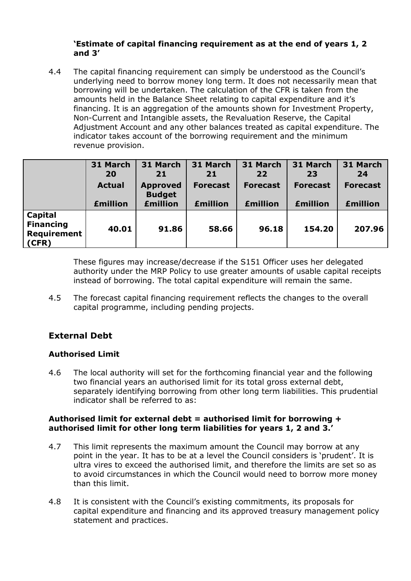#### **'Estimate of capital financing requirement as at the end of years 1, 2 and 3'**

4.4 The capital financing requirement can simply be understood as the Council's underlying need to borrow money long term. It does not necessarily mean that borrowing will be undertaken. The calculation of the CFR is taken from the amounts held in the Balance Sheet relating to capital expenditure and it's financing. It is an aggregation of the amounts shown for Investment Property, Non-Current and Intangible assets, the Revaluation Reserve, the Capital Adjustment Account and any other balances treated as capital expenditure. The indicator takes account of the borrowing requirement and the minimum revenue provision.

|                                                                   | 31 March<br><b>20</b> | 31 March<br>21                   | 31 March<br>21  | 31 March<br>22  | 31 March<br>23  | 31 March<br>24  |
|-------------------------------------------------------------------|-----------------------|----------------------------------|-----------------|-----------------|-----------------|-----------------|
|                                                                   | <b>Actual</b>         | <b>Approved</b><br><b>Budget</b> | <b>Forecast</b> | <b>Forecast</b> | <b>Forecast</b> | <b>Forecast</b> |
|                                                                   | <b>£million</b>       | <b>£million</b>                  | <b>£million</b> | <b>£million</b> | <b>£million</b> | <b>£million</b> |
| <b>Capital</b><br><b>Financing</b><br><b>Requirement</b><br>(CFR) | 40.01                 | 91.86                            | 58.66           | 96.18           | 154.20          | 207.96          |

These figures may increase/decrease if the S151 Officer uses her delegated authority under the MRP Policy to use greater amounts of usable capital receipts instead of borrowing. The total capital expenditure will remain the same.

4.5 The forecast capital financing requirement reflects the changes to the overall capital programme, including pending projects.

## **External Debt**

### **Authorised Limit**

4.6 The local authority will set for the forthcoming financial year and the following two financial years an authorised limit for its total gross external debt, separately identifying borrowing from other long term liabilities. This prudential indicator shall be referred to as:

#### **Authorised limit for external debt = authorised limit for borrowing + authorised limit for other long term liabilities for years 1, 2 and 3.'**

- 4.7 This limit represents the maximum amount the Council may borrow at any point in the year. It has to be at a level the Council considers is 'prudent'. It is ultra vires to exceed the authorised limit, and therefore the limits are set so as to avoid circumstances in which the Council would need to borrow more money than this limit.
- 4.8 It is consistent with the Council's existing commitments, its proposals for capital expenditure and financing and its approved treasury management policy statement and practices.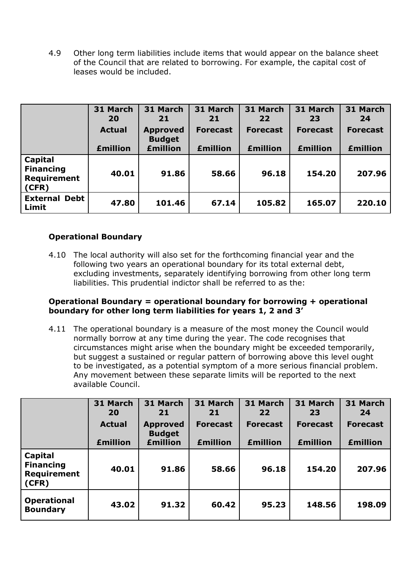4.9 Other long term liabilities include items that would appear on the balance sheet of the Council that are related to borrowing. For example, the capital cost of leases would be included.

|                                                     | 31 March<br>20  | 31 March<br>21                   | 31 March<br>21  | 31 March<br>22  | 31 March<br>23  | 31 March<br>24  |
|-----------------------------------------------------|-----------------|----------------------------------|-----------------|-----------------|-----------------|-----------------|
|                                                     | <b>Actual</b>   | <b>Approved</b><br><b>Budget</b> | <b>Forecast</b> | <b>Forecast</b> | <b>Forecast</b> | <b>Forecast</b> |
|                                                     | <b>£million</b> | <b>£million</b>                  | <b>£million</b> | <b>£million</b> | <b>£million</b> | <b>£million</b> |
| Capital<br><b>Financing</b><br>Requirement<br>(CFR) | 40.01           | 91.86                            | 58.66           | 96.18           | 154.20          | 207.96          |
| <b>External Debt</b><br>Limit                       | 47.80           | 101.46                           | 67.14           | 105.82          | 165.07          | 220.10          |

### **Operational Boundary**

4.10 The local authority will also set for the forthcoming financial year and the following two years an operational boundary for its total external debt, excluding investments, separately identifying borrowing from other long term liabilities. This prudential indictor shall be referred to as the:

#### **Operational Boundary = operational boundary for borrowing + operational boundary for other long term liabilities for years 1, 2 and 3'**

4.11 The operational boundary is a measure of the most money the Council would normally borrow at any time during the year. The code recognises that circumstances might arise when the boundary might be exceeded temporarily, but suggest a sustained or regular pattern of borrowing above this level ought to be investigated, as a potential symptom of a more serious financial problem. Any movement between these separate limits will be reported to the next available Council.

|                                                            | 31 March<br>20  | 31 March<br>21                   | 31 March<br>21  | 31 March<br>22  | 31 March<br>23  | 31 March<br>24  |
|------------------------------------------------------------|-----------------|----------------------------------|-----------------|-----------------|-----------------|-----------------|
|                                                            | <b>Actual</b>   | <b>Approved</b><br><b>Budget</b> | <b>Forecast</b> | <b>Forecast</b> | <b>Forecast</b> | <b>Forecast</b> |
|                                                            | <b>£million</b> | <b>£million</b>                  | <b>£million</b> | <b>£million</b> | <b>£million</b> | <b>£million</b> |
| <b>Capital</b><br><b>Financing</b><br>Requirement<br>(CFR) | 40.01           | 91.86                            | 58.66           | 96.18           | 154.20          | 207.96          |
| <b>Operational</b><br><b>Boundary</b>                      | 43.02           | 91.32                            | 60.42           | 95.23           | 148.56          | 198.09          |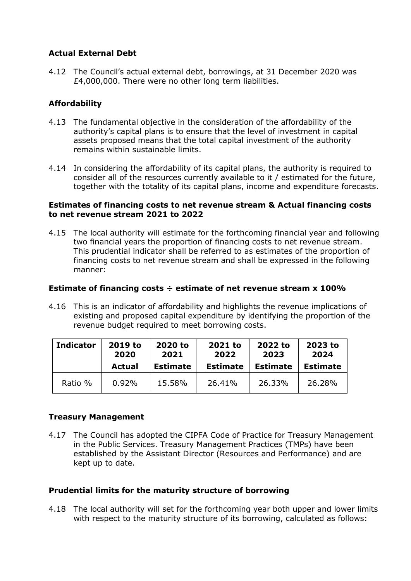### **Actual External Debt**

4.12 The Council's actual external debt, borrowings, at 31 December 2020 was £4,000,000. There were no other long term liabilities.

## **Affordability**

- 4.13 The fundamental objective in the consideration of the affordability of the authority's capital plans is to ensure that the level of investment in capital assets proposed means that the total capital investment of the authority remains within sustainable limits.
- 4.14 In considering the affordability of its capital plans, the authority is required to consider all of the resources currently available to it / estimated for the future, together with the totality of its capital plans, income and expenditure forecasts.

#### **Estimates of financing costs to net revenue stream & Actual financing costs to net revenue stream 2021 to 2022**

4.15 The local authority will estimate for the forthcoming financial year and following two financial years the proportion of financing costs to net revenue stream. This prudential indicator shall be referred to as estimates of the proportion of financing costs to net revenue stream and shall be expressed in the following manner:

#### **Estimate of financing costs ÷ estimate of net revenue stream x 100%**

4.16 This is an indicator of affordability and highlights the revenue implications of existing and proposed capital expenditure by identifying the proportion of the revenue budget required to meet borrowing costs.

| <b>Indicator</b> | 2019 to | 2020 to         | 2021 to         | 2022 to         | 2023 to         |
|------------------|---------|-----------------|-----------------|-----------------|-----------------|
|                  | 2020    | 2021            | 2022            | 2023            | 2024            |
|                  | Actual  | <b>Estimate</b> | <b>Estimate</b> | <b>Estimate</b> | <b>Estimate</b> |
| Ratio %          | 0.92%   | 15.58%          | 26.41%          | 26.33%          | 26.28%          |

#### **Treasury Management**

4.17 The Council has adopted the CIPFA Code of Practice for Treasury Management in the Public Services. Treasury Management Practices (TMPs) have been established by the Assistant Director (Resources and Performance) and are kept up to date.

#### **Prudential limits for the maturity structure of borrowing**

4.18 The local authority will set for the forthcoming year both upper and lower limits with respect to the maturity structure of its borrowing, calculated as follows: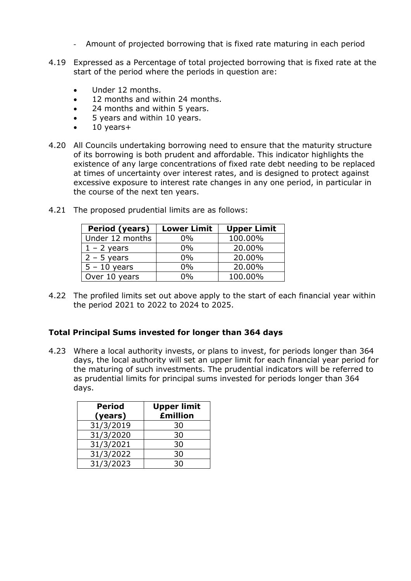- Amount of projected borrowing that is fixed rate maturing in each period
- 4.19 Expressed as a Percentage of total projected borrowing that is fixed rate at the start of the period where the periods in question are:
	- Under 12 months.
	- 12 months and within 24 months.
	- 24 months and within 5 years.
	- 5 years and within 10 years.
	- $\bullet$  10 years+
- 4.20 All Councils undertaking borrowing need to ensure that the maturity structure of its borrowing is both prudent and affordable. This indicator highlights the existence of any large concentrations of fixed rate debt needing to be replaced at times of uncertainty over interest rates, and is designed to protect against excessive exposure to interest rate changes in any one period, in particular in the course of the next ten years.

| Period (years)  | <b>Lower Limit</b> | <b>Upper Limit</b> |
|-----------------|--------------------|--------------------|
| Under 12 months | $0\%$              | 100.00%            |
| $1 - 2$ years   | $0\%$              | 20.00%             |
| $2 - 5$ years   | $0\%$              | 20.00%             |
| $5 - 10$ years  | $0\%$              | 20.00%             |
| Over 10 years   | በ‰                 | 100.00%            |

4.21 The proposed prudential limits are as follows:

4.22 The profiled limits set out above apply to the start of each financial year within the period 2021 to 2022 to 2024 to 2025.

#### **Total Principal Sums invested for longer than 364 days**

4.23 Where a local authority invests, or plans to invest, for periods longer than 364 days, the local authority will set an upper limit for each financial year period for the maturing of such investments. The prudential indicators will be referred to as prudential limits for principal sums invested for periods longer than 364 days.

| <b>Period</b><br>(years) | <b>Upper limit</b><br><b>£million</b> |
|--------------------------|---------------------------------------|
| 31/3/2019                | 30                                    |
| 31/3/2020                | 30                                    |
| 31/3/2021                | 30                                    |
| 31/3/2022                | 30                                    |
| 31/3/2023                | ٦Λ                                    |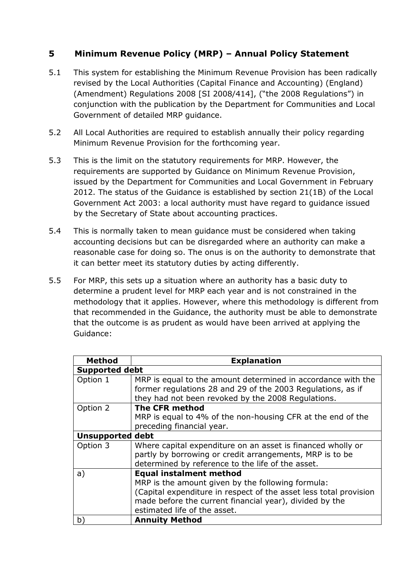## **5 Minimum Revenue Policy (MRP) – Annual Policy Statement**

- 5.1 This system for establishing the Minimum Revenue Provision has been radically revised by the Local Authorities (Capital Finance and Accounting) (England) (Amendment) Regulations 2008 [SI 2008/414], ("the 2008 Regulations") in conjunction with the publication by the Department for Communities and Local Government of detailed MRP guidance.
- 5.2 All Local Authorities are required to establish annually their policy regarding Minimum Revenue Provision for the forthcoming year.
- 5.3 This is the limit on the statutory requirements for MRP. However, the requirements are supported by Guidance on Minimum Revenue Provision, issued by the Department for Communities and Local Government in February 2012. The status of the Guidance is established by section 21(1B) of the Local Government Act 2003: a local authority must have regard to guidance issued by the Secretary of State about accounting practices.
- 5.4 This is normally taken to mean guidance must be considered when taking accounting decisions but can be disregarded where an authority can make a reasonable case for doing so. The onus is on the authority to demonstrate that it can better meet its statutory duties by acting differently.
- 5.5 For MRP, this sets up a situation where an authority has a basic duty to determine a prudent level for MRP each year and is not constrained in the methodology that it applies. However, where this methodology is different from that recommended in the Guidance, the authority must be able to demonstrate that the outcome is as prudent as would have been arrived at applying the Guidance:

| <b>Method</b>           | <b>Explanation</b>                                                                                                                                                           |
|-------------------------|------------------------------------------------------------------------------------------------------------------------------------------------------------------------------|
| <b>Supported debt</b>   |                                                                                                                                                                              |
| Option 1                | MRP is equal to the amount determined in accordance with the<br>former regulations 28 and 29 of the 2003 Regulations, as if                                                  |
|                         | they had not been revoked by the 2008 Regulations.                                                                                                                           |
| Option 2                | <b>The CFR method</b>                                                                                                                                                        |
|                         | MRP is equal to 4% of the non-housing CFR at the end of the                                                                                                                  |
|                         | preceding financial year.                                                                                                                                                    |
| <b>Unsupported debt</b> |                                                                                                                                                                              |
| Option 3                | Where capital expenditure on an asset is financed wholly or<br>partly by borrowing or credit arrangements, MRP is to be<br>determined by reference to the life of the asset. |
| a)                      | <b>Equal instalment method</b>                                                                                                                                               |
|                         | MRP is the amount given by the following formula:                                                                                                                            |
|                         | (Capital expenditure in respect of the asset less total provision                                                                                                            |
|                         | made before the current financial year), divided by the                                                                                                                      |
|                         | estimated life of the asset.                                                                                                                                                 |
| b)                      | <b>Annuity Method</b>                                                                                                                                                        |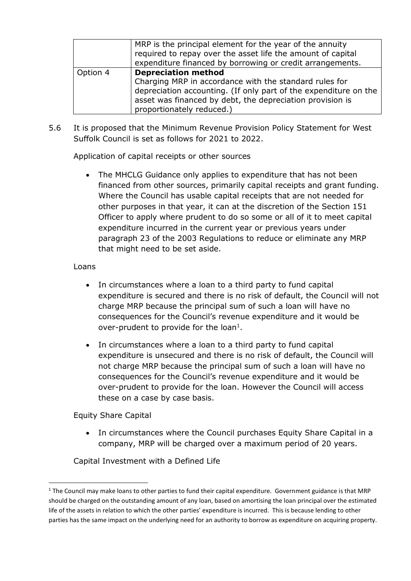|          | MRP is the principal element for the year of the annuity<br>required to repay over the asset life the amount of capital<br>expenditure financed by borrowing or credit arrangements.                                                               |
|----------|----------------------------------------------------------------------------------------------------------------------------------------------------------------------------------------------------------------------------------------------------|
| Option 4 | <b>Depreciation method</b><br>Charging MRP in accordance with the standard rules for<br>depreciation accounting. (If only part of the expenditure on the<br>asset was financed by debt, the depreciation provision is<br>proportionately reduced.) |

5.6 It is proposed that the Minimum Revenue Provision Policy Statement for West Suffolk Council is set as follows for 2021 to 2022.

Application of capital receipts or other sources

• The MHCLG Guidance only applies to expenditure that has not been financed from other sources, primarily capital receipts and grant funding. Where the Council has usable capital receipts that are not needed for other purposes in that year, it can at the discretion of the Section 151 Officer to apply where prudent to do so some or all of it to meet capital expenditure incurred in the current year or previous years under paragraph 23 of the 2003 Regulations to reduce or eliminate any MRP that might need to be set aside.

#### Loans

- In circumstances where a loan to a third party to fund capital expenditure is secured and there is no risk of default, the Council will not charge MRP because the principal sum of such a loan will have no consequences for the Council's revenue expenditure and it would be over-prudent to provide for the loan<sup>1</sup>.
- In circumstances where a loan to a third party to fund capital expenditure is unsecured and there is no risk of default, the Council will not charge MRP because the principal sum of such a loan will have no consequences for the Council's revenue expenditure and it would be over-prudent to provide for the loan. However the Council will access these on a case by case basis.

Equity Share Capital

 $\overline{a}$ 

• In circumstances where the Council purchases Equity Share Capital in a company, MRP will be charged over a maximum period of 20 years.

Capital Investment with a Defined Life

 $1$  The Council may make loans to other parties to fund their capital expenditure. Government guidance is that MRP should be charged on the outstanding amount of any loan, based on amortising the loan principal over the estimated life of the assets in relation to which the other parties' expenditure is incurred. This is because lending to other parties has the same impact on the underlying need for an authority to borrow as expenditure on acquiring property.